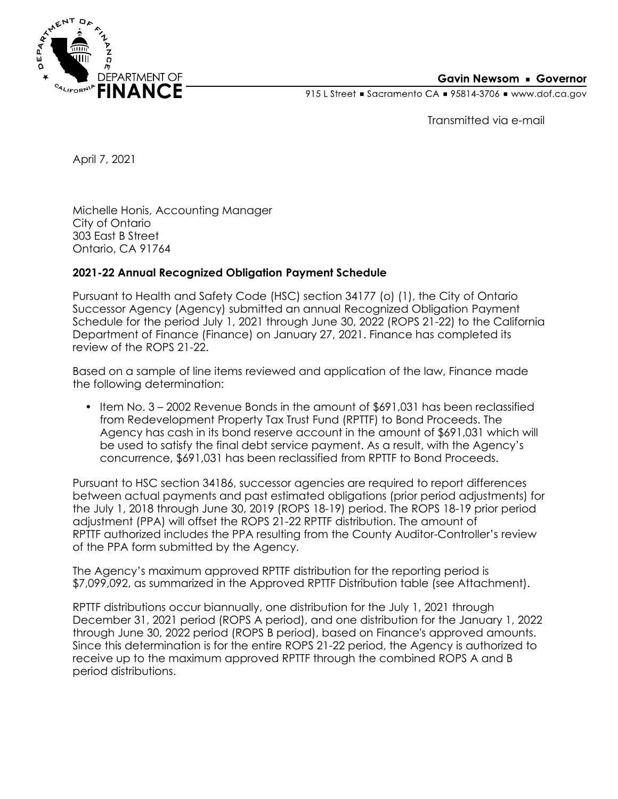

## **Gavin Newsom • Governor**

915 L Street Gacramento CA = 95814-3706 Www.dof.ca.gov

Transmitted via e-mail

April 7, 2021

Michelle Honis, Accounting Manager City of Ontario 303 East B Street Ontario, CA 91764

## **2021-22 Annual Recognized Obligation Payment Schedule**

Pursuant to Health and Safety Code (HSC) section 34177 (o) (1), the City of Ontario Successor Agency (Agency) submitted an annual Recognized Obligation Payment Schedule for the period July 1, 2021 through June 30, 2022 (ROPS 21-22) to the California Department of Finance (Finance) on January 27, 2021. Finance has completed its review of the ROPS 21-22.

Based on a sample of line items reviewed and application of the law, Finance made the following determination:

• Item No. 3 – 2002 Revenue Bonds in the amount of \$691,031 has been reclassified from Redevelopment Property Tax Trust Fund (RPTTF) to Bond Proceeds. The Agency has cash in its bond reserve account in the amount of \$691,031 which will be used to satisfy the final debt service payment. As a result, with the Agency's concurrence, \$691,031 has been reclassified from RPTTF to Bond Proceeds.

Pursuant to HSC section 34186, successor agencies are required to report differences between actual payments and past estimated obligations (prior period adjustments) for the July 1, 2018 through June 30, 2019 (ROPS 18-19) period. The ROPS 18-19 prior period adjustment (PPA) will offset the ROPS 21-22 RPTTF distribution. The amount of RPTTF authorized includes the PPA resulting from the County Auditor-Controller's review of the PPA form submitted by the Agency.

The Agency's maximum approved RPTTF distribution for the reporting period is \$7,099,092, as summarized in the Approved RPTTF Distribution table (see Attachment).

RPTTF distributions occur biannually, one distribution for the July 1, 2021 through December 31, 2021 period (ROPS A period), and one distribution for the January 1, 2022 through June 30, 2022 period (ROPS B period), based on Finance's approved amounts. Since this determination is for the entire ROPS 21-22 period, the Agency is authorized to receive up to the maximum approved RPTTF through the combined ROPS A and B period distributions.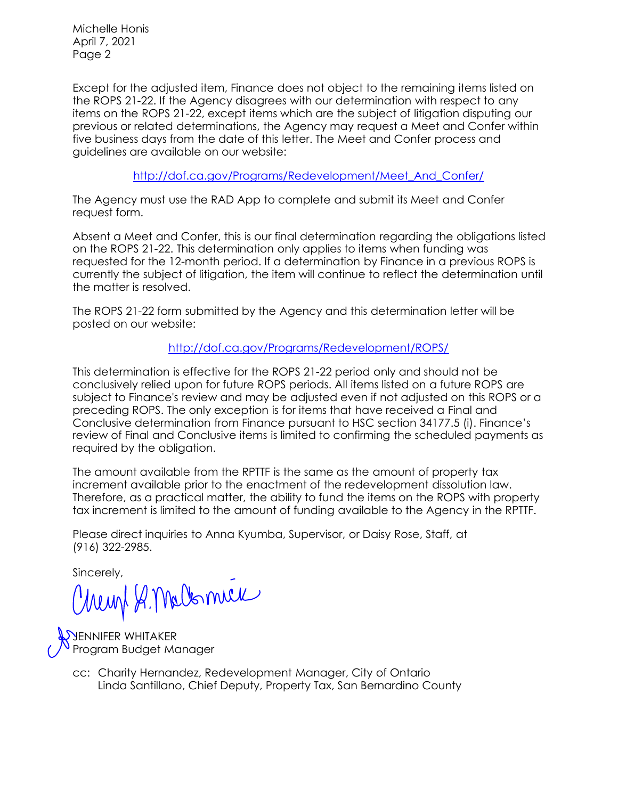Michelle Honis April 7, 2021 Page 2

Except for the adjusted item, Finance does not object to the remaining items listed on the ROPS 21-22. If the Agency disagrees with our determination with respect to any items on the ROPS 21-22, except items which are the subject of litigation disputing our previous or related determinations, the Agency may request a Meet and Confer within five business days from the date of this letter. The Meet and Confer process and guidelines are available on our website:

[http://dof.ca.gov/Programs/Redevelopment/Meet\\_And\\_Confer/](http://dof.ca.gov/Programs/Redevelopment/Meet_And_Confer/) 

The Agency must use the RAD App to complete and submit its Meet and Confer request form.

Absent a Meet and Confer, this is our final determination regarding the obligations listed on the ROPS 21-22. This determination only applies to items when funding was requested for the 12-month period. If a determination by Finance in a previous ROPS is currently the subject of litigation, the item will continue to reflect the determination until the matter is resolved.

The ROPS 21-22 form submitted by the Agency and this determination letter will be posted on our website:

<http://dof.ca.gov/Programs/Redevelopment/ROPS/>

This determination is effective for the ROPS 21-22 period only and should not be conclusively relied upon for future ROPS periods. All items listed on a future ROPS are subject to Finance's review and may be adjusted even if not adjusted on this ROPS or a preceding ROPS. The only exception is for items that have received a Final and Conclusive determination from Finance pursuant to HSC section 34177.5 (i). Finance's review of Final and Conclusive items is limited to confirming the scheduled payments as required by the obligation.

The amount available from the RPTTF is the same as the amount of property tax increment available prior to the enactment of the redevelopment dissolution law. Therefore, as a practical matter, the ability to fund the items on the ROPS with property tax increment is limited to the amount of funding available to the Agency in the RPTTF.

Please direct inquiries to Anna Kyumba, Supervisor, or Daisy Rose, Staff, at (916) 322-2985.

Sincerely,

Chemp & Malomel

**SHENNIFER WHITAKER** Program Budget Manager

> Linda Santillano, Chief Deputy, Property Tax, San Bernardino County cc: Charity Hernandez, Redevelopment Manager, City of Ontario